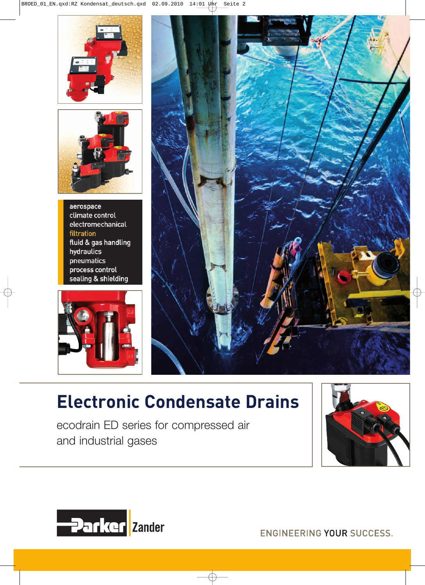



aerospace climate control electromechanical filtration fluid & gas handling hydraulics pneumatics process control sealing & shielding





# **Electronic Condensate Drains**

ecodrain ED series for compressed air and industrial gases





**ENGINEERING YOUR SUCCESS.**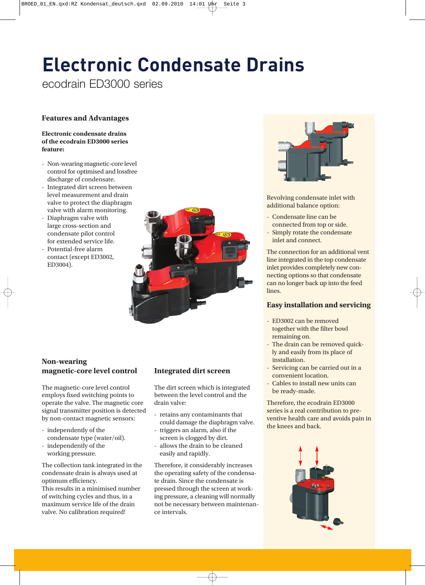# **Electronic Condensate Drains**

ecodrain ED3000 series

# **Features and Advantages**

### **Electronic condensate drains of the ecodrain ED3000 series feature:**

- Non-wearing magnetic-core level control for optimised and lossfree discharge of condensate.
- Integrated dirt screen between level measurement and drain valve to protect the diaphragm valve with alarm monitoring.
- Diaphragm valve with large cross-section and condensate pilot control for extended service life.
- Potential-free alarm contact (except ED3002, ED3004).



# **Non-wearing magnetic-core level control**

The magnetic-core level control employs fixed switching points to operate the valve. The magnetic core signal transmitter position is detected by non-contact magnetic sensors:

- independently of the condensate type (water/oil).
- independently of the working pressure.

The collection tank integrated in the condensate drain is always used at optimum efficiency.

This results in a minimised number of switching cycles and thus, in a maximum service life of the drain valve. No calibration required!

# **Integrated dirt screen**

The dirt screen which is integrated between the level control and the drain valve:

- retains any contaminants that could damage the diaphragm valve.
- triggers an alarm, also if the screen is clogged by dirt.
- allows the drain to be cleaned easily and rapidly.

Therefore, it considerably increases the operating safety of the condensate drain. Since the condensate is pressed through the screen at working pressure, a cleaning will normally not be necessary between maintenance intervals.



Revolving condensate inlet with additional balance option:

- Condensate line can be connected from top or side.
- Simply rotate the condensate inlet and connect.

The connection for an additional vent line integrated in the top condensate inlet provides completely new connecting options so that condensate can no longer back up into the feed lines.

# **Easy installation and servicing**

- ED3002 can be removed together with the filter bowl remaining on.
- The drain can be removed quickly and easily from its place of installation.
- Servicing can be carried out in a convenient location.
- Cables to install new units can be ready-made.

Therefore, the ecodrain ED3000 series is a real contribution to preventive health care and avoids pain in the knees and back.

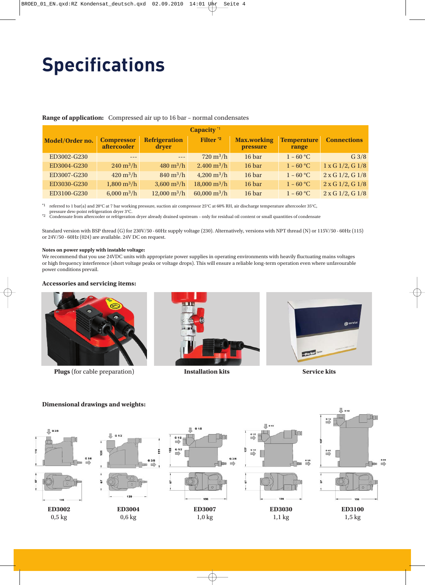# **Specifications**

### **Range of application:** Compressed air up to 16 bar – normal condensates

| Capacity <sup>*1</sup> |                                         |                                    |                                    |                                |                             |                           |
|------------------------|-----------------------------------------|------------------------------------|------------------------------------|--------------------------------|-----------------------------|---------------------------|
| Model/Order no.        | <b>Compressor</b><br><i>aftercooler</i> | <b>Refrigeration</b><br>dryer      | Filter <sup>*2</sup>               | <b>Max.working</b><br>pressure | <b>Temperature</b><br>range | <b>Connections</b>        |
| ED3002-G230            |                                         | $\frac{1}{2}$                      | $720 \,\mathrm{m}^3/\mathrm{h}$    | 16 bar                         | $1 - 60 °C$                 | G3/8                      |
| ED3004-G230            | $240 \,\mathrm{m}^3/\mathrm{h}$         | $480 \,\mathrm{m}^3/\mathrm{h}$    | $2.400 \,\mathrm{m}^3/\mathrm{h}$  | 16 bar                         | $1 - 60 °C$                 | $1 \times G$ 1/2, $G$ 1/8 |
| ED3007-G230            | $420 \,\mathrm{m}^3/\mathrm{h}$         | $840 \,\mathrm{m}^3/\mathrm{h}$    | $4,200 \text{ m}^3/\text{h}$       | 16 bar                         | $1 - 60 °C$                 | $2 \times G$ 1/2, G 1/8   |
| ED3030-G230            | $1,800 \text{ m}^3/\text{h}$            | $3,600 \text{ m}^3/\text{h}$       | $18,000 \text{ m}^3/\text{h}$      | 16 bar                         | $1 - 60 °C$                 | $2 \times G$ 1/2, G 1/8   |
| ED3100-G230            | 6,000 $m^3/h$                           | $12,000 \,\mathrm{m}^3/\mathrm{h}$ | $60,000 \,\mathrm{m}^3/\mathrm{h}$ | 16 bar                         | $1 - 60 °C$                 | $2 \times G$ 1/2, G 1/8   |

\*1 referred to 1 bar(a) and 20°C at 7 bar working pressure, suction air compressor 25°C at 60% RH, air discharge temperature aftercooler 35°C,

pressure dew-point refrigeration dryer 3°C. \*2 Condensate from aftercooler or refrigeration dryer already drained upstream – only for residual oil content or small quantities of condensate

Standard version with BSP thread (G) for 230V/50 - 60Hz supply voltage (230). Alternatively, versions with NPT thread (N) or 115V/50 - 60Hz (115) or 24V/50 - 60Hz (024) are available. 24V DC on request.

#### **Notes on power supply with instable voltage:**

We recommend that you use 24VDC units with appropriate power supplies in operating environments with heavily fluctuating mains voltages or high frequency interference (short voltage peaks or voltage drops). This will ensure a reliable long-term operation even where unfavourable power conditions prevail.

### **Accessories and servicing items:**



**Plugs** (for cable preparation) **Installation kits**







#### **且** 615 In  $\frac{0.12}{2}$  $\mathbb{R}$  on  $G$  1/2 且  $\Box$  G 3/8 п  $6.46$ Im 122  $G$  1/2 P, F  $\stackrel{6}{\Longrightarrow}$ ă  $G 3/8$  $G3/8$  $\overset{\circ}{\rightarrow}$  $\Rightarrow$ mb t, **ED3002 ED3004 ED3007 ED3030 ED3100** 0,5 kg 0,6 kg 1,0 kg 1,1 kg 1,5 kg

#### **Dimensional drawings and weights:**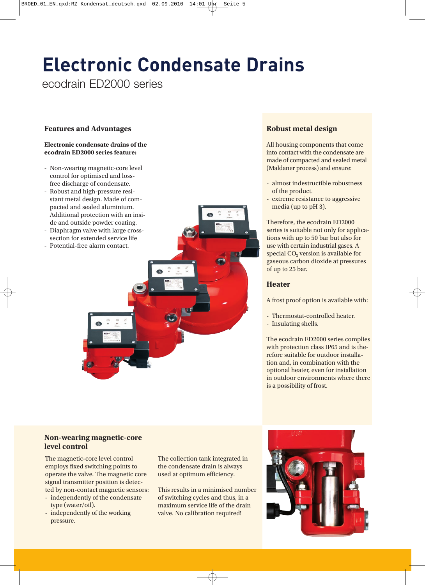# **Electronic Condensate Drains**

ecodrain ED2000 series

# **Features and Advantages**

#### **Electronic condensate drains of the ecodrain ED2000 series feature:**

- Non-wearing magnetic-core level control for optimised and lossfree discharge of condensate.
- Robust and high-pressure resistant metal design. Made of compacted and sealed aluminium. Additional protection with an inside and outside powder coating.
- Diaphragm valve with large crosssection for extended service life
- Potential-free alarm contact.

# **Robust metal design**

All housing components that come into contact with the condensate are made of compacted and sealed metal (Maldaner process) and ensure:

- almost indestructible robustness of the product.
- extreme resistance to aggressive media (up to pH 3).

Therefore, the ecodrain ED2000 series is suitable not only for applications with up to 50 bar but also for use with certain industrial gases. A special  $CO<sub>2</sub>$  version is available for gaseous carbon dioxide at pressures of up to 25 bar.

# **Heater**

A frost proof option is available with:

- Thermostat-controlled heater.
- Insulating shells.

The ecodrain ED2000 series complies with protection class IP65 and is therefore suitable for outdoor installation and, in combination with the optional heater, even for installation in outdoor environments where there is a possibility of frost.

# **Non-wearing magnetic-core level control**

The magnetic-core level control employs fixed switching points to operate the valve. The magnetic core signal transmitter position is detected by non-contact magnetic sensors:

- independently of the condensate type (water/oil).
- independently of the working pressure.

The collection tank integrated in the condensate drain is always used at optimum efficiency.

This results in a minimised number of switching cycles and thus, in a maximum service life of the drain valve. No calibration required!

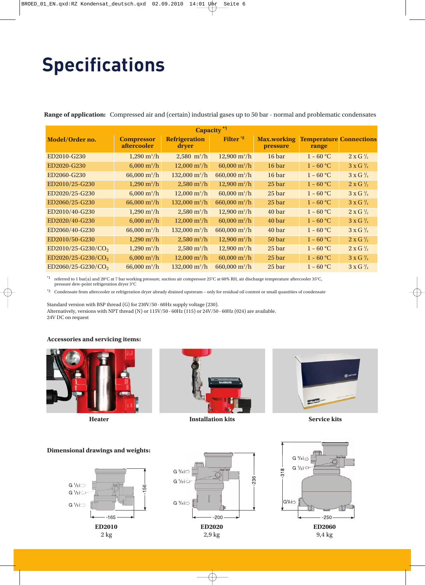# **Specifications**

**Range of application:** Compressed air and (certain) industrial gases up to 50 bar - normal and problematic condensates

| Capacity <sup>*1</sup>         |                                         |                                |                               |                                |                                         |                          |  |
|--------------------------------|-----------------------------------------|--------------------------------|-------------------------------|--------------------------------|-----------------------------------------|--------------------------|--|
| Model/Order no.                | <b>Compressor</b><br><i>aftercooler</i> | <b>Refrigeration</b><br>dryer  | Filter <sup>*2</sup>          | <b>Max.working</b><br>pressure | <b>Temperature Connections</b><br>range |                          |  |
| ED2010-G230                    | $1,290 \text{ m}^3/\text{h}$            | $2,580 \; \text{m}^3/\text{h}$ | $12,900 \text{ m}^3/\text{h}$ | 16 bar                         | $1 - 60 °C$                             | $2 \times G \frac{1}{2}$ |  |
| ED2020-G230                    | $6,000 \text{ m}^3/\text{h}$            | $12,000 \text{ m}^3/\text{h}$  | $60,000 \text{ m}^3/\text{h}$ | 16 bar                         | $1 - 60 °C$                             | $3 \times G \frac{3}{4}$ |  |
| ED2060-G230                    | 66,000 $m^3/h$                          | $132,000 \text{ m}^3/\text{h}$ | 660,000 $m^3/h$               | 16 bar                         | $1 - 60 °C$                             | $3 \times G \frac{3}{4}$ |  |
| ED2010/25-G230                 | $1,290 \text{ m}^3/\text{h}$            | $2,580 \text{ m}^3/\text{h}$   | $12,900 \text{ m}^3/\text{h}$ | 25 bar                         | $1 - 60$ °C                             | $2 \times G \frac{1}{2}$ |  |
| ED2020/25-G230                 | $6,000 \text{ m}^3/\text{h}$            | $12,000 \text{ m}^3/\text{h}$  | $60,000 \text{ m}^3/\text{h}$ | 25 bar                         | $1 - 60 °C$                             | $3 \times G \frac{3}{4}$ |  |
| ED2060/25-G230                 | 66,000 $m^3/h$                          | $132,000 \text{ m}^3/\text{h}$ | 660,000 $m^3/h$               | 25 bar                         | $1 - 60 °C$                             | $3 \times G \frac{3}{4}$ |  |
| ED2010/40-G230                 | $1,290 \text{ m}^3/\text{h}$            | $2,580 \text{ m}^3/\text{h}$   | $12,900 \text{ m}^3/\text{h}$ | 40 bar                         | $1 - 60 °C$                             | $2 \times G \frac{1}{2}$ |  |
| ED2020/40-G230                 | 6,000 $m^3/h$                           | $12,000 \text{ m}^3/\text{h}$  | $60,000 \text{ m}^3/\text{h}$ | 40 bar                         | $1 - 60 °C$                             | $3 \times G \frac{3}{4}$ |  |
| ED2060/40-G230                 | 66,000 $m^3/h$                          | $132,000 \text{ m}^3/\text{h}$ | 660,000 $m^3/h$               | 40 bar                         | $1 - 60 °C$                             | $3 \times G \frac{3}{4}$ |  |
| ED2010/50-G230                 | $1,290 \text{ m}^3/\text{h}$            | $2,580 \text{ m}^3/\text{h}$   | $12,900 \text{ m}^3/\text{h}$ | 50 bar                         | $1 - 60 °C$                             | $2 \times G \frac{1}{2}$ |  |
| ED2010/25-G230/CO <sub>2</sub> | $1,290 \,\mathrm{m}^3/\mathrm{h}$       | $2,580 \text{ m}^3/\text{h}$   | $12,900 \text{ m}^3/\text{h}$ | 25 bar                         | $1 - 60 °C$                             | $2$ x G $\frac{1}{2}$    |  |
| $ED2020/25-G230/CO2$           | $6,000 \text{ m}^3/\text{h}$            | $12,000 \text{ m}^3/\text{h}$  | $60,000 \text{ m}^3/\text{h}$ | 25 bar                         | $1 - 60 °C$                             | $3 \times G \frac{3}{4}$ |  |
| ED2060/25-G230/CO <sub>2</sub> | $66,000 \text{ m}^3/\text{h}$           | 132,000 $m^3/h$                | 660,000 $m^3/h$               | 25 bar                         | $1 - 60 °C$                             | $3 \times G \frac{3}{4}$ |  |

 $^{\ast}1$  referred to 1 bar(a) and 20°C at 7 bar working pressure, suction air compressor 25°C at 60% RH, air discharge temperature aftercooler 35°C, pressure dew-point refrigeration dryer 3°C

\*2 Condensate from aftercooler or refrigeration dryer already drained upstream – only for residual oil content or small quantities of condensate

Standard version with BSP thread (G) for 230V/50 - 60Hz supply voltage (230). Alternatively, versions with NPT thread (N) or 115V/50 - 60Hz (115) or 24V/50 - 60Hz (024) are available. 24V DC on request

#### **Accessories and servicing items:**





**Heater Installation kits Service kits**



#### **Dimensional drawings and weights:**





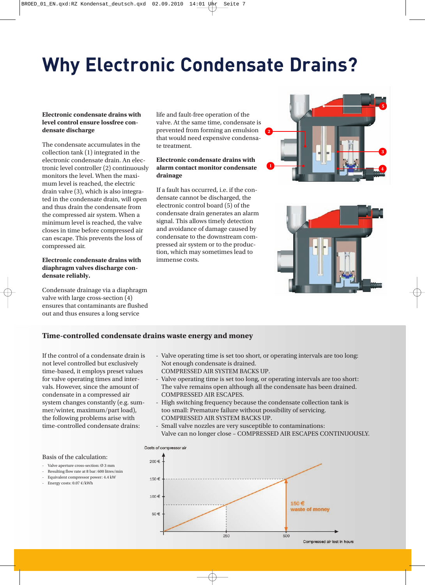# **Why Electronic Condensate Drains?**

### **Electronic condensate drains with level control ensure lossfree condensate discharge**

The condensate accumulates in the collection tank (1) integrated in the electronic condensate drain. An electronic level controller (2) continuously monitors the level. When the maximum level is reached, the electric drain valve (3), which is also integrated in the condensate drain, will open and thus drain the condensate from the compressed air system. When a minimum level is reached, the valve closes in time before compressed air can escape. This prevents the loss of compressed air.

#### **Electronic condensate drains with diaphragm valves discharge condensate reliably.**

Condensate drainage via a diaphragm valve with large cross-section (4) ensures that contaminants are flushed out and thus ensures a long service

life and fault-free operation of the valve. At the same time, condensate is prevented from forming an emulsion that would need expensive condensate treatment.

### **Electronic condensate drains with alarm contact monitor condensate drainage**

If a fault has occurred, i.e. if the condensate cannot be discharged, the electronic control board (5) of the condensate drain generates an alarm signal. This allows timely detection and avoidance of damage caused by condensate to the downstream compressed air system or to the production, which may sometimes lead to immense costs.





# **Time-controlled condensate drains waste energy and money**

If the control of a condensate drain is not level controlled but exclusively time-based, it employs preset values for valve operating times and intervals. However, since the amount of condensate in a compressed air system changes constantly (e.g. summer/winter, maximum/part load), the following problems arise with time-controlled condensate drains:

- Valve operating time is set too short, or operating intervals are too long: Not enough condensate is drained.
- COMPRESSED AIR SYSTEM BACKS UP.
- Valve operating time is set too long, or operating intervals are too short: The valve remains open although all the condensate has been drained. COMPRESSED AIR ESCAPES.
- High switching frequency because the condensate collection tank is too small: Premature failure without possibility of servicing. COMPRESSED AIR SYSTEM BACKS UP.
- Small valve nozzles are very susceptible to contaminations: Valve can no longer close – COMPRESSED AIR ESCAPES CONTINUOUSLY.



- Valve aperture cross-section: Ø 3 mm
- Resulting flow rate at 8 bar: 600 litres/min
- Equivalent compressor power: 4.4 kW
- Energy costs: 0.07 €/kWh

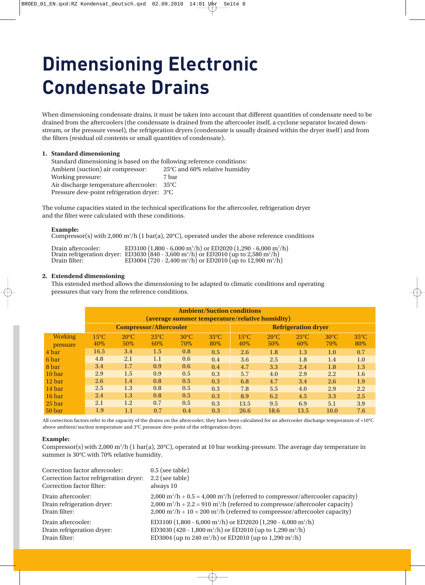# **Dimensioning Electronic Condensate Drains**

When dimensioning condensate drains, it must be taken into account that different quantities of condensate need to be drained from the aftercoolers (the condensate is drained from the aftercooler itself, a cyclone separator located downstream, or the pressure vessel), the refrigeration dryers (condensate is usually drained within the dryer itself) and from the filters (residual oil contents or small quantities of condensate).

# **1. Standard dimensioning**

Standard dimensioning is based on the following reference conditions: Ambient (suction) air compressor: 25°C and 60% relative humidity Working pressure: 7 bar Air discharge temperature aftercooler: 35°C Pressure dew-point refrigeration dryer: 3°C

The volume capacities stated in the technical specifications for the aftercooler, refrigeration dryer and the filter were calculated with these conditions.

#### **Example:**

Compressor(s) with 2,000 m<sup>3</sup>/h (1 bar(a), 20°C), operated under the above reference conditions

| Drain aftercooler: | ED3100 (1,800 - 6,000 m <sup>3</sup> /h) or ED2020 (1,290 - 6,000 m <sup>3</sup> /h)                        |
|--------------------|-------------------------------------------------------------------------------------------------------------|
|                    | Drain refrigeration dryer: ED3030 (840 - 3,600 m <sup>3</sup> /h) or ED2010 (up to 2,580 m <sup>3</sup> /h) |
| Drain filter:      | ED3004 (720 - 2,400 m <sup>3</sup> /h) or ED2010 (up to 12,900 m <sup>3</sup> /h)                           |

#### **2. Extendend dimensioning**

This extended method allows the dimensioning to be adapted to climatic conditions and operating pressures that vary from the reference conditions.

|                            | <b>Ambient/Suction conditions</b><br>(average summer temperature/relative humidity) |                       |                        |                        |                            |                       |                        |                        |                       |                       |
|----------------------------|-------------------------------------------------------------------------------------|-----------------------|------------------------|------------------------|----------------------------|-----------------------|------------------------|------------------------|-----------------------|-----------------------|
|                            | <b>Compressor/Aftercooler</b>                                                       |                       |                        |                        | <b>Refrigeration dryer</b> |                       |                        |                        |                       |                       |
| <b>Working</b><br>pressure | $15^{\circ}$ C<br>40\%                                                              | $20^{\circ}$ C<br>50% | $25^{\circ}$ C<br>60\% | $30^{\circ}$ C<br>70\% | $35^{\circ}$ C<br>80%      | $15^{\circ}$ C<br>40% | $20^{\circ}$ C<br>50\% | $25^{\circ}$ C<br>60\% | $30^{\circ}$ C<br>70% | $35^{\circ}$ C<br>80% |
| 4 bar                      | 16.5                                                                                | 3.4                   | 1.5                    | 0.8                    | 0.5                        | 2.6                   | 1.8                    | 1.3                    | 1.0                   | 0.7                   |
| 6 bar                      | 4.8                                                                                 | 2.1                   | 1.1                    | 0.6                    | 0.4                        | 3.6                   | 2.5                    | 1.8                    | 1.4                   | 1.0                   |
| 8 bar                      | 3.4                                                                                 | 1.7                   | 0.9                    | 0.6                    | 0.4                        | 4.7                   | 3.3                    | 2.4                    | 1.8                   | 1.3                   |
| 10 bar                     | 2.9                                                                                 | 1.5                   | 0.9                    | 0.5                    | 0.3                        | 5.7                   | 4.0                    | 2.9                    | 2.2                   | 1.6                   |
| 12 bar                     | 2.6                                                                                 | 1.4                   | 0.8                    | 0.5                    | 0.3                        | 6.8                   | 4.7                    | 3.4                    | 2.6                   | 1.9                   |
| 14 bar                     | 2.5                                                                                 | 1.3                   | 0.8                    | 0.5                    | 0.3                        | 7.8                   | 5.5                    | 4.0                    | 2.9                   | 2.2                   |
| 16 bar                     | 2.4                                                                                 | 1.3                   | 0.8                    | 0.5                    | 0.3                        | 8.9                   | 6.2                    | 4.5                    | 3.3                   | 2.5                   |
| 25 bar                     | 2.1                                                                                 | 1.2                   | 0.7                    | 0.5                    | 0.3                        | 13.5                  | 9.5                    | 6.9                    | 5.1                   | 3.9                   |
| 50 bar                     | 1.9                                                                                 | $1.1\,$               | 0.7                    | 0.4                    | 0.3                        | 26.6                  | 18.6                   | 13.5                   | 10.0                  | 7.6                   |

All correction factors refer to the capacity of the drains on the aftercooler; they have been calculated for an aftercooler discharge temperature of +10°C above ambient/suction temperature and 3°C pressure dew-point of the refrigeration dryer.

#### **Example:**

Compressor(s) with 2,000 m<sup>3</sup>/h (1 bar(a), 20°C), operated at 10 bar working-pressure. The average day temperature in summer is 30°C with 70% relative humidity.

| Correction factor aftercooler:         | $0.5$ (see table)                                                                                                |
|----------------------------------------|------------------------------------------------------------------------------------------------------------------|
| Correction factor refrigeration dryer: | $2.2$ (see table)                                                                                                |
| Correction factor filter:              | always 10                                                                                                        |
| Drain aftercooler:                     | $2,000 \text{ m}^3/\text{h} \div 0.5 = 4,000 \text{ m}^3/\text{h}$ (referred to compressor/aftercooler capacity) |
| Drain refrigeration dryer:             | $2,000 \text{ m}^3/\text{h} \div 2.2 = 910 \text{ m}^3/\text{h}$ (referred to compressor/aftercooler capacity)   |
| Drain filter:                          | $2,000 \text{ m}^3/\text{h} \div 10 = 200 \text{ m}^3/\text{h}$ (referred to compressor/aftercooler capacity)    |
| Drain aftercooler:                     | ED3100 (1,800 - 6,000 m <sup>3</sup> /h) or ED2020 (1,290 - 6,000 m <sup>3</sup> /h)                             |
| Drain refrigeration dryer:             | ED3030 (420 - 1,800 m <sup>3</sup> /h) or ED2010 (up to 1,290 m <sup>3</sup> /h)                                 |
| Drain filter:                          | ED3004 (up to 240 m <sup>3</sup> /h) or ED2010 (up to 1,290 m <sup>3</sup> /h)                                   |